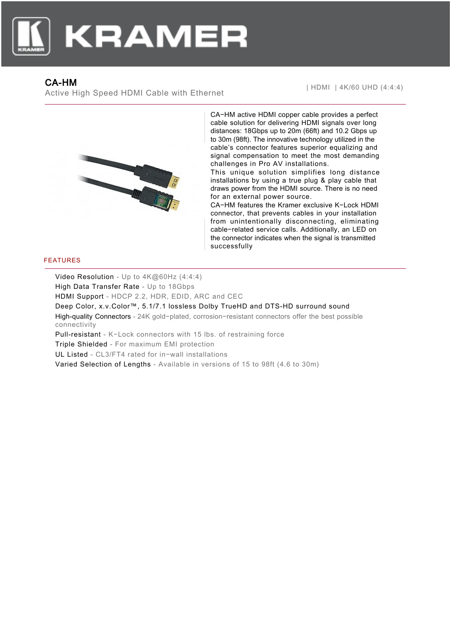

## CA-HM

Active High Speed HDMI Cable with Ethernet



CA−HM active HDMI copper cable provides a perfect cable solution for delivering HDMI signals over long distances: 18Gbps up to 20m (66ft) and 10.2 Gbps up to 30m (98ft). The innovative technology utilized in the cable's connector features superior equalizing and signal compensation to meet the most demanding challenges in Pro AV installations.

This unique solution simplifies long distance installations by using a true plug & play cable that draws power from the HDMI source. There is no need for an external power source.

CA−HM features the Kramer exclusive K−Lock HDMI connector, that prevents cables in your installation from unintentionally disconnecting, eliminating cable−related service calls. Additionally, an LED on the connector indicates when the signal is transmitted successfully

## FEATURES

Video Resolution - Up to 4K@60Hz (4:4:4) High Data Transfer Rate - Up to 18Gbps HDMI Support - HDCP 2.2, HDR, EDID, ARC and CEC Deep Color, x.v.Color™, 5.1/7.1 lossless Dolby TrueHD and DTS-HD surround sound High-quality Connectors - 24K gold−plated, corrosion−resistant connectors offer the best possible connectivity Pull-resistant - K−Lock connectors with 15 lbs. of restraining force Triple Shielded - For maximum EMI protection UL Listed - CL3/FT4 rated for in−wall installations Varied Selection of Lengths - Available in versions of 15 to 98ft (4.6 to 30m)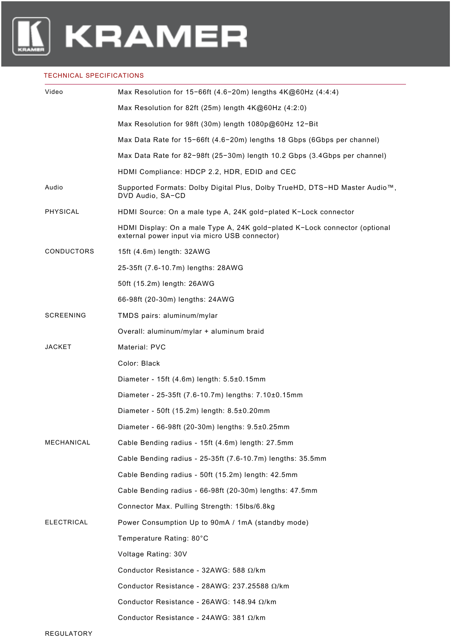

## TECHNICAL SPECIFICATIONS

| Video             | Max Resolution for $15-66$ ft (4.6-20m) lengths $4K@60$ Hz (4:4:4)                                                          |
|-------------------|-----------------------------------------------------------------------------------------------------------------------------|
|                   | Max Resolution for 82ft (25m) length 4K@60Hz (4:2:0)                                                                        |
|                   | Max Resolution for 98ft (30m) length 1080p@60Hz 12-Bit                                                                      |
|                   | Max Data Rate for 15-66ft (4.6-20m) lengths 18 Gbps (6Gbps per channel)                                                     |
|                   | Max Data Rate for 82-98ft (25-30m) length 10.2 Gbps (3.4Gbps per channel)                                                   |
|                   | HDMI Compliance: HDCP 2.2, HDR, EDID and CEC                                                                                |
| Audio             | Supported Formats: Dolby Digital Plus, Dolby TrueHD, DTS-HD Master Audio™,<br>DVD Audio, SA-CD                              |
| PHYSICAL          | HDMI Source: On a male type A, 24K gold-plated K-Lock connector                                                             |
|                   | HDMI Display: On a male Type A, 24K gold-plated K-Lock connector (optional<br>external power input via micro USB connector) |
| <b>CONDUCTORS</b> | 15ft (4.6m) length: 32AWG                                                                                                   |
|                   | 25-35ft (7.6-10.7m) lengths: 28AWG                                                                                          |
|                   | 50ft (15.2m) length: 26AWG                                                                                                  |
|                   | 66-98ft (20-30m) lengths: 24AWG                                                                                             |
| <b>SCREENING</b>  | TMDS pairs: aluminum/mylar                                                                                                  |
|                   | Overall: aluminum/mylar + aluminum braid                                                                                    |
| JACKET            | Material: PVC                                                                                                               |
|                   | Color: Black                                                                                                                |
|                   | Diameter - 15ft (4.6m) length: 5.5±0.15mm                                                                                   |
|                   | Diameter - 25-35ft (7.6-10.7m) lengths: 7.10±0.15mm                                                                         |
|                   | Diameter - 50ft (15.2m) length: 8.5±0.20mm                                                                                  |
|                   | Diameter - 66-98ft (20-30m) lengths: 9.5±0.25mm                                                                             |
| MECHANICAL        | Cable Bending radius - 15ft (4.6m) length: 27.5mm                                                                           |
|                   | Cable Bending radius - 25-35ft (7.6-10.7m) lengths: 35.5mm                                                                  |
|                   | Cable Bending radius - 50ft (15.2m) length: 42.5mm                                                                          |
|                   | Cable Bending radius - 66-98ft (20-30m) lengths: 47.5mm                                                                     |
|                   | Connector Max. Pulling Strength: 15lbs/6.8kg                                                                                |
| <b>ELECTRICAL</b> | Power Consumption Up to 90mA / 1mA (standby mode)                                                                           |
|                   | Temperature Rating: 80°C                                                                                                    |
|                   | Voltage Rating: 30V                                                                                                         |
|                   | Conductor Resistance - 32AWG: 588 Ω/km                                                                                      |
|                   | Conductor Resistance - 28AWG: 237.25588 $\Omega$ /km                                                                        |
|                   | Conductor Resistance - 26AWG: 148.94 $\Omega$ /km                                                                           |
|                   | Conductor Resistance - 24AWG: 381 Ω/km                                                                                      |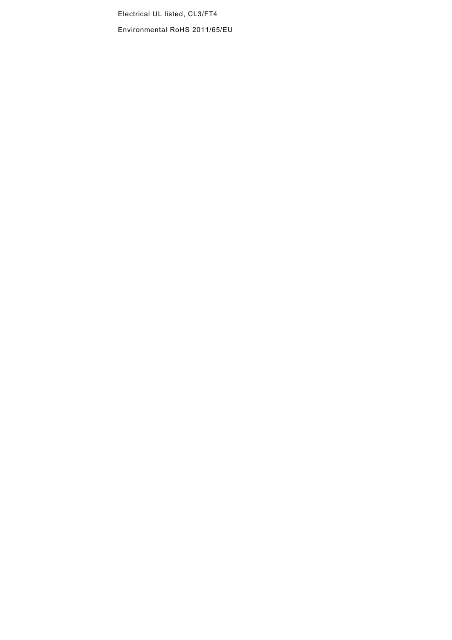Electrical UL listed, CL3/FT4

Environmental RoHS 2011/65/EU